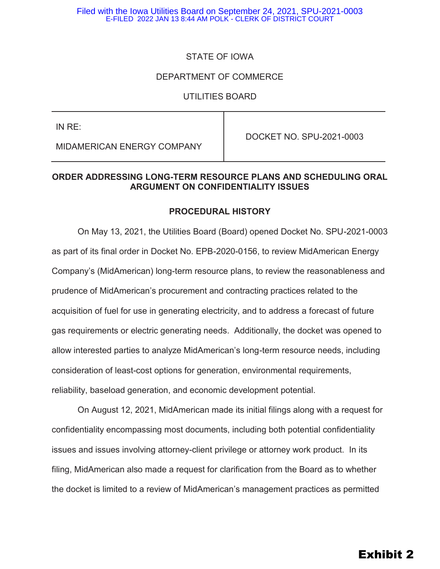### STATE OF IOWA

### DEPARTMENT OF COMMERCE

### UTILITIES BOARD

| IN RE:                     | DOCKET NO. SPU-2021-0003 |
|----------------------------|--------------------------|
| MIDAMERICAN ENERGY COMPANY |                          |

### **ORDER ADDRESSING LONG-TERM RESOURCE PLANS AND SCHEDULING ORAL ARGUMENT ON CONFIDENTIALITY ISSUES**

### **PROCEDURAL HISTORY**

On May 13, 2021, the Utilities Board (Board) opened Docket No. SPU-2021-0003 as part of its final order in Docket No. EPB-2020-0156, to review MidAmerican Energy Company's (MidAmerican) long-term resource plans, to review the reasonableness and prudence of MidAmerican's procurement and contracting practices related to the acquisition of fuel for use in generating electricity, and to address a forecast of future gas requirements or electric generating needs. Additionally, the docket was opened to allow interested parties to analyze MidAmerican's long-term resource needs, including consideration of least-cost options for generation, environmental requirements, reliability, baseload generation, and economic development potential.

On August 12, 2021, MidAmerican made its initial filings along with a request for confidentiality encompassing most documents, including both potential confidentiality issues and issues involving attorney-client privilege or attorney work product. In its filing, MidAmerican also made a request for clarification from the Board as to whether the docket is limited to a review of MidAmerican's management practices as permitted

# Exhibit 2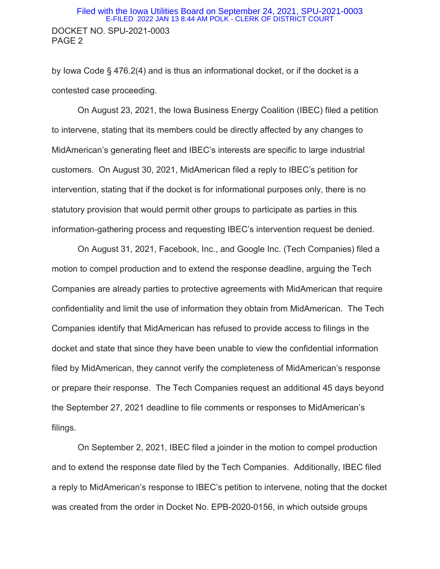### DOCKET NO. SPU-2021-0003 PAGE 2 Filed with the Iowa Utilities Board on September 24, 2021, SPU-2021-0003 E-FILED 2022 JAN 13 8:44 AM POLK - CLERK OF DISTRICT COURT

by Iowa Code § 476.2(4) and is thus an informational docket, or if the docket is a contested case proceeding.

On August 23, 2021, the Iowa Business Energy Coalition (IBEC) filed a petition to intervene, stating that its members could be directly affected by any changes to MidAmerican's generating fleet and IBEC's interests are specific to large industrial customers. On August 30, 2021, MidAmerican filed a reply to IBEC's petition for intervention, stating that if the docket is for informational purposes only, there is no statutory provision that would permit other groups to participate as parties in this information-gathering process and requesting IBEC's intervention request be denied.

On August 31, 2021, Facebook, Inc., and Google Inc. (Tech Companies) filed a motion to compel production and to extend the response deadline, arguing the Tech Companies are already parties to protective agreements with MidAmerican that require confidentiality and limit the use of information they obtain from MidAmerican. The Tech Companies identify that MidAmerican has refused to provide access to filings in the docket and state that since they have been unable to view the confidential information filed by MidAmerican, they cannot verify the completeness of MidAmerican's response or prepare their response. The Tech Companies request an additional 45 days beyond the September 27, 2021 deadline to file comments or responses to MidAmerican's filings.

On September 2, 2021, IBEC filed a joinder in the motion to compel production and to extend the response date filed by the Tech Companies. Additionally, IBEC filed a reply to MidAmerican's response to IBEC's petition to intervene, noting that the docket was created from the order in Docket No. EPB-2020-0156, in which outside groups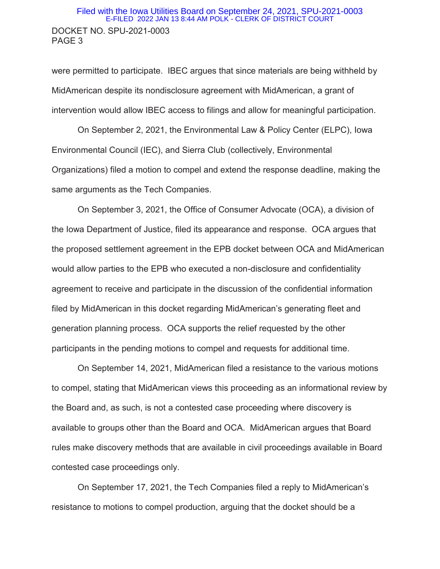### DOCKET NO. SPU-2021-0003 PAGE 3 Filed with the Iowa Utilities Board on September 24, 2021, SPU-2021-0003 E-FILED 2022 JAN 13 8:44 AM POLK - CLERK OF DISTRICT COURT

were permitted to participate. IBEC argues that since materials are being withheld by MidAmerican despite its nondisclosure agreement with MidAmerican, a grant of intervention would allow IBEC access to filings and allow for meaningful participation.

On September 2, 2021, the Environmental Law & Policy Center (ELPC), Iowa Environmental Council (IEC), and Sierra Club (collectively, Environmental Organizations) filed a motion to compel and extend the response deadline, making the same arguments as the Tech Companies.

On September 3, 2021, the Office of Consumer Advocate (OCA), a division of the Iowa Department of Justice, filed its appearance and response. OCA argues that the proposed settlement agreement in the EPB docket between OCA and MidAmerican would allow parties to the EPB who executed a non-disclosure and confidentiality agreement to receive and participate in the discussion of the confidential information filed by MidAmerican in this docket regarding MidAmerican's generating fleet and generation planning process. OCA supports the relief requested by the other participants in the pending motions to compel and requests for additional time.

On September 14, 2021, MidAmerican filed a resistance to the various motions to compel, stating that MidAmerican views this proceeding as an informational review by the Board and, as such, is not a contested case proceeding where discovery is available to groups other than the Board and OCA. MidAmerican argues that Board rules make discovery methods that are available in civil proceedings available in Board contested case proceedings only.

On September 17, 2021, the Tech Companies filed a reply to MidAmerican's resistance to motions to compel production, arguing that the docket should be a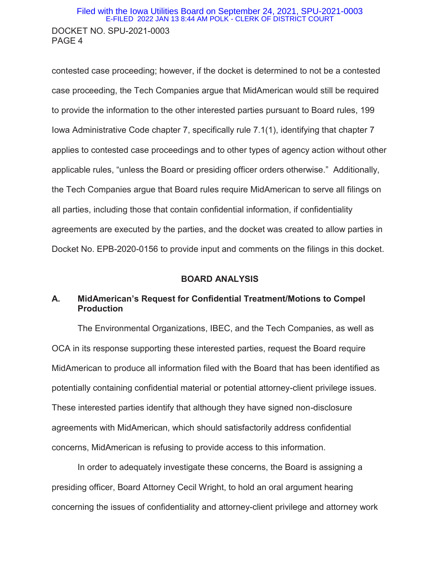### DOCKET NO. SPU-2021-0003 PAGE 4 Filed with the Iowa Utilities Board on September 24, 2021, SPU-2021-0003 E-FILED 2022 JAN 13 8:44 AM POLK - CLERK OF DISTRICT COURT

contested case proceeding; however, if the docket is determined to not be a contested case proceeding, the Tech Companies argue that MidAmerican would still be required to provide the information to the other interested parties pursuant to Board rules, 199 Iowa Administrative Code chapter 7, specifically rule 7.1(1), identifying that chapter 7 applies to contested case proceedings and to other types of agency action without other applicable rules, "unless the Board or presiding officer orders otherwise." Additionally, the Tech Companies argue that Board rules require MidAmerican to serve all filings on all parties, including those that contain confidential information, if confidentiality agreements are executed by the parties, and the docket was created to allow parties in Docket No. EPB-2020-0156 to provide input and comments on the filings in this docket.

#### **BOARD ANALYSIS**

### **A. MidAmerican's Request for Confidential Treatment/Motions to Compel Production**

The Environmental Organizations, IBEC, and the Tech Companies, as well as OCA in its response supporting these interested parties, request the Board require MidAmerican to produce all information filed with the Board that has been identified as potentially containing confidential material or potential attorney-client privilege issues. These interested parties identify that although they have signed non-disclosure agreements with MidAmerican, which should satisfactorily address confidential concerns, MidAmerican is refusing to provide access to this information.

In order to adequately investigate these concerns, the Board is assigning a presiding officer, Board Attorney Cecil Wright, to hold an oral argument hearing concerning the issues of confidentiality and attorney-client privilege and attorney work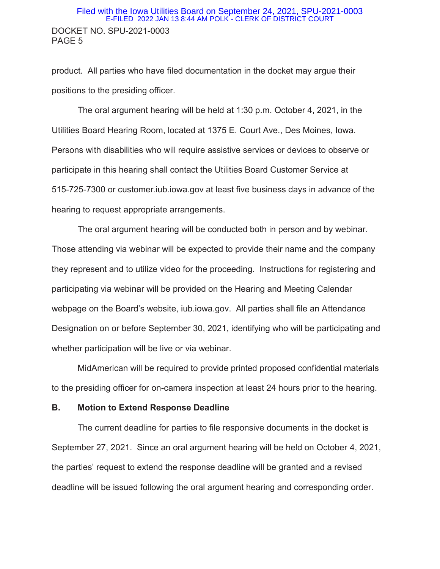### DOCKET NO. SPU-2021-0003 PAGE 5 Filed with the Iowa Utilities Board on September 24, 2021, SPU-2021-0003 E-FILED 2022 JAN 13 8:44 AM POLK - CLERK OF DISTRICT COURT

product. All parties who have filed documentation in the docket may argue their positions to the presiding officer.

The oral argument hearing will be held at 1:30 p.m. October 4, 2021, in the Utilities Board Hearing Room, located at 1375 E. Court Ave., Des Moines, Iowa. Persons with disabilities who will require assistive services or devices to observe or participate in this hearing shall contact the Utilities Board Customer Service at 515-725-7300 or customer.iub.iowa.gov at least five business days in advance of the hearing to request appropriate arrangements.

The oral argument hearing will be conducted both in person and by webinar. Those attending via webinar will be expected to provide their name and the company they represent and to utilize video for the proceeding. Instructions for registering and participating via webinar will be provided on the Hearing and Meeting Calendar webpage on the Board's website, iub.iowa.gov. All parties shall file an Attendance Designation on or before September 30, 2021, identifying who will be participating and whether participation will be live or via webinar.

MidAmerican will be required to provide printed proposed confidential materials to the presiding officer for on-camera inspection at least 24 hours prior to the hearing.

### **B. Motion to Extend Response Deadline**

The current deadline for parties to file responsive documents in the docket is September 27, 2021. Since an oral argument hearing will be held on October 4, 2021, the parties' request to extend the response deadline will be granted and a revised deadline will be issued following the oral argument hearing and corresponding order.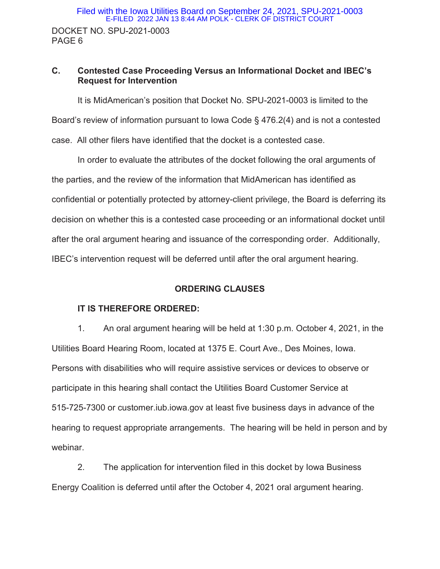### **C. Contested Case Proceeding Versus an Informational Docket and IBEC's Request for Intervention**

It is MidAmerican's position that Docket No. SPU-2021-0003 is limited to the Board's review of information pursuant to Iowa Code § 476.2(4) and is not a contested case. All other filers have identified that the docket is a contested case.

In order to evaluate the attributes of the docket following the oral arguments of the parties, and the review of the information that MidAmerican has identified as confidential or potentially protected by attorney-client privilege, the Board is deferring its decision on whether this is a contested case proceeding or an informational docket until after the oral argument hearing and issuance of the corresponding order. Additionally, IBEC's intervention request will be deferred until after the oral argument hearing.

### **ORDERING CLAUSES**

### **IT IS THEREFORE ORDERED:**

1. An oral argument hearing will be held at 1:30 p.m. October 4, 2021, in the Utilities Board Hearing Room, located at 1375 E. Court Ave., Des Moines, Iowa. Persons with disabilities who will require assistive services or devices to observe or participate in this hearing shall contact the Utilities Board Customer Service at 515-725-7300 or customer.iub.iowa.gov at least five business days in advance of the hearing to request appropriate arrangements. The hearing will be held in person and by webinar.

2. The application for intervention filed in this docket by Iowa Business Energy Coalition is deferred until after the October 4, 2021 oral argument hearing.